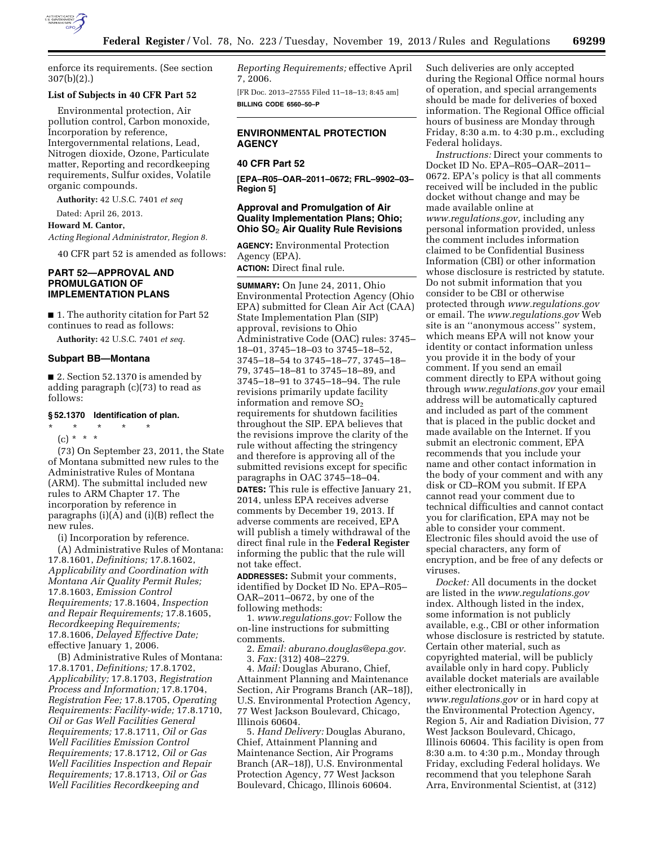

enforce its requirements. (See section 307(b)(2).)

#### **List of Subjects in 40 CFR Part 52**

Environmental protection, Air pollution control, Carbon monoxide, Incorporation by reference, Intergovernmental relations, Lead, Nitrogen dioxide, Ozone, Particulate matter, Reporting and recordkeeping requirements, Sulfur oxides, Volatile organic compounds.

**Authority:** 42 U.S.C. 7401 *et seq* 

Dated: April 26, 2013.

**Howard M. Cantor,** 

*Acting Regional Administrator, Region 8.* 

40 CFR part 52 is amended as follows:

# **PART 52—APPROVAL AND PROMULGATION OF IMPLEMENTATION PLANS**

■ 1. The authority citation for Part 52 continues to read as follows:

**Authority:** 42 U.S.C. 7401 *et seq.* 

## **Subpart BB—Montana**

■ 2. Section 52.1370 is amended by adding paragraph (c)(73) to read as follows:

### **§ 52.1370 Identification of plan.**

\* \* \* \* \*  $(c) * * * *$ 

(73) On September 23, 2011, the State of Montana submitted new rules to the Administrative Rules of Montana (ARM). The submittal included new rules to ARM Chapter 17. The incorporation by reference in paragraphs (i)(A) and (i)(B) reflect the new rules.

(i) Incorporation by reference.

(A) Administrative Rules of Montana: 17.8.1601, *Definitions;* 17.8.1602, *Applicability and Coordination with Montana Air Quality Permit Rules;*  17.8.1603, *Emission Control Requirements;* 17.8.1604, *Inspection and Repair Requirements;* 17.8.1605, *Recordkeeping Requirements;*  17.8.1606, *Delayed Effective Date;*  effective January 1, 2006.

(B) Administrative Rules of Montana: 17.8.1701, *Definitions;* 17.8.1702, *Applicability;* 17.8.1703, *Registration Process and Information;* 17.8.1704, *Registration Fee;* 17.8.1705, *Operating Requirements: Facility-wide;* 17.8.1710, *Oil or Gas Well Facilities General Requirements;* 17.8.1711, *Oil or Gas Well Facilities Emission Control Requirements;* 17.8.1712, *Oil or Gas Well Facilities Inspection and Repair Requirements;* 17.8.1713, *Oil or Gas Well Facilities Recordkeeping and* 

*Reporting Requirements;* effective April 7, 2006.

[FR Doc. 2013–27555 Filed 11–18–13; 8:45 am] **BILLING CODE 6560–50–P** 

# **ENVIRONMENTAL PROTECTION AGENCY**

# **40 CFR Part 52**

**[EPA–R05–OAR–2011–0672; FRL–9902–03– Region 5]** 

## **Approval and Promulgation of Air Quality Implementation Plans; Ohio; Ohio SO**2 **Air Quality Rule Revisions**

**AGENCY:** Environmental Protection Agency (EPA).

**ACTION:** Direct final rule.

**SUMMARY:** On June 24, 2011, Ohio Environmental Protection Agency (Ohio EPA) submitted for Clean Air Act (CAA) State Implementation Plan (SIP) approval, revisions to Ohio Administrative Code (OAC) rules: 3745– 18–01, 3745–18–03 to 3745–18–52, 3745–18–54 to 3745–18–77, 3745–18– 79, 3745–18–81 to 3745–18–89, and 3745–18–91 to 3745–18–94. The rule revisions primarily update facility information and remove  $SO<sub>2</sub>$ requirements for shutdown facilities throughout the SIP. EPA believes that the revisions improve the clarity of the rule without affecting the stringency and therefore is approving all of the submitted revisions except for specific paragraphs in OAC 3745–18–04.

**DATES:** This rule is effective January 21, 2014, unless EPA receives adverse comments by December 19, 2013. If adverse comments are received, EPA will publish a timely withdrawal of the direct final rule in the **Federal Register**  informing the public that the rule will not take effect.

**ADDRESSES:** Submit your comments, identified by Docket ID No. EPA–R05– OAR–2011–0672, by one of the following methods:

1. *[www.regulations.gov:](http://www.regulations.gov)* Follow the on-line instructions for submitting comments.

2. *Email: [aburano.douglas@epa.gov.](mailto:aburano.douglas@epa.gov)*  3. *Fax:* (312) 408–2279.

4. *Mail:* Douglas Aburano, Chief, Attainment Planning and Maintenance Section, Air Programs Branch (AR–18J), U.S. Environmental Protection Agency, 77 West Jackson Boulevard, Chicago, Illinois 60604.

5. *Hand Delivery:* Douglas Aburano, Chief, Attainment Planning and Maintenance Section, Air Programs Branch (AR–18J), U.S. Environmental Protection Agency, 77 West Jackson Boulevard, Chicago, Illinois 60604.

Such deliveries are only accepted during the Regional Office normal hours of operation, and special arrangements should be made for deliveries of boxed information. The Regional Office official hours of business are Monday through Friday, 8:30 a.m. to 4:30 p.m., excluding Federal holidays.

*Instructions:* Direct your comments to Docket ID No. EPA–R05–OAR–2011– 0672. EPA's policy is that all comments received will be included in the public docket without change and may be made available online at *[www.regulations.gov,](http://www.regulations.gov)* including any personal information provided, unless the comment includes information claimed to be Confidential Business Information (CBI) or other information whose disclosure is restricted by statute. Do not submit information that you consider to be CBI or otherwise protected through *[www.regulations.gov](http://www.regulations.gov)*  or email. The *[www.regulations.gov](http://www.regulations.gov)* Web site is an ''anonymous access'' system, which means EPA will not know your identity or contact information unless you provide it in the body of your comment. If you send an email comment directly to EPA without going through *[www.regulations.gov](http://www.regulations.gov)* your email address will be automatically captured and included as part of the comment that is placed in the public docket and made available on the Internet. If you submit an electronic comment, EPA recommends that you include your name and other contact information in the body of your comment and with any disk or CD–ROM you submit. If EPA cannot read your comment due to technical difficulties and cannot contact you for clarification, EPA may not be able to consider your comment. Electronic files should avoid the use of special characters, any form of encryption, and be free of any defects or viruses.

*Docket:* All documents in the docket are listed in the *[www.regulations.gov](http://www.regulations.gov)*  index. Although listed in the index, some information is not publicly available, e.g., CBI or other information whose disclosure is restricted by statute. Certain other material, such as copyrighted material, will be publicly available only in hard copy. Publicly available docket materials are available either electronically in *[www.regulations.gov](http://www.regulations.gov)* or in hard copy at the Environmental Protection Agency, Region 5, Air and Radiation Division, 77 West Jackson Boulevard, Chicago, Illinois 60604. This facility is open from 8:30 a.m. to 4:30 p.m., Monday through Friday, excluding Federal holidays. We recommend that you telephone Sarah Arra, Environmental Scientist, at (312)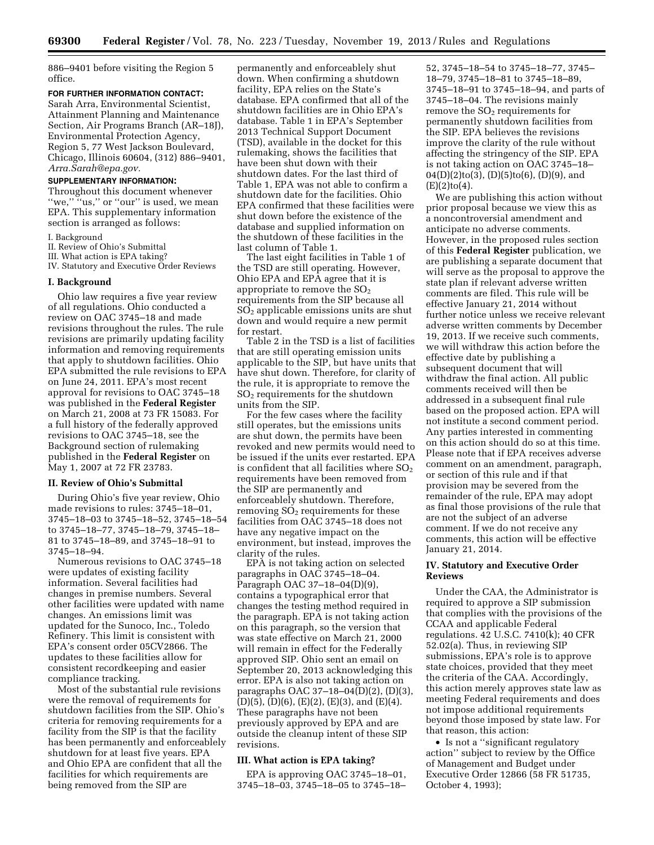886–9401 before visiting the Region 5 office.

### **FOR FURTHER INFORMATION CONTACT:**

Sarah Arra, Environmental Scientist, Attainment Planning and Maintenance Section, Air Programs Branch (AR–18J), Environmental Protection Agency, Region 5, 77 West Jackson Boulevard, Chicago, Illinois 60604, (312) 886–9401, *[Arra.Sarah@epa.gov.](mailto:Arra.Sarah@epa.gov)* 

# **SUPPLEMENTARY INFORMATION:**

Throughout this document whenever "we," "us," or "our" is used, we mean EPA. This supplementary information section is arranged as follows:

I. Background

II. Review of Ohio's Submittal

III. What action is EPA taking?

IV. Statutory and Executive Order Reviews

#### **I. Background**

Ohio law requires a five year review of all regulations. Ohio conducted a review on OAC 3745–18 and made revisions throughout the rules. The rule revisions are primarily updating facility information and removing requirements that apply to shutdown facilities. Ohio EPA submitted the rule revisions to EPA on June 24, 2011. EPA's most recent approval for revisions to OAC 3745–18 was published in the **Federal Register**  on March 21, 2008 at 73 FR 15083. For a full history of the federally approved revisions to OAC 3745–18, see the Background section of rulemaking published in the **Federal Register** on May 1, 2007 at 72 FR 23783.

#### **II. Review of Ohio's Submittal**

During Ohio's five year review, Ohio made revisions to rules: 3745–18–01, 3745–18–03 to 3745–18–52, 3745–18–54 to 3745–18–77, 3745–18–79, 3745–18– 81 to 3745–18–89, and 3745–18–91 to 3745–18–94.

Numerous revisions to OAC 3745–18 were updates of existing facility information. Several facilities had changes in premise numbers. Several other facilities were updated with name changes. An emissions limit was updated for the Sunoco, Inc., Toledo Refinery. This limit is consistent with EPA's consent order 05CV2866. The updates to these facilities allow for consistent recordkeeping and easier compliance tracking.

Most of the substantial rule revisions were the removal of requirements for shutdown facilities from the SIP. Ohio's criteria for removing requirements for a facility from the SIP is that the facility has been permanently and enforceablely shutdown for at least five years. EPA and Ohio EPA are confident that all the facilities for which requirements are being removed from the SIP are

permanently and enforceablely shut down. When confirming a shutdown facility, EPA relies on the State's database. EPA confirmed that all of the shutdown facilities are in Ohio EPA's database. Table 1 in EPA's September 2013 Technical Support Document (TSD), available in the docket for this rulemaking, shows the facilities that have been shut down with their shutdown dates. For the last third of Table 1, EPA was not able to confirm a shutdown date for the facilities. Ohio EPA confirmed that these facilities were shut down before the existence of the database and supplied information on the shutdown of these facilities in the last column of Table 1.

The last eight facilities in Table 1 of the TSD are still operating. However, Ohio EPA and EPA agree that it is appropriate to remove the  $SO<sub>2</sub>$ requirements from the SIP because all SO2 applicable emissions units are shut down and would require a new permit for restart.

Table 2 in the TSD is a list of facilities that are still operating emission units applicable to the SIP, but have units that have shut down. Therefore, for clarity of the rule, it is appropriate to remove the SO2 requirements for the shutdown units from the SIP.

For the few cases where the facility still operates, but the emissions units are shut down, the permits have been revoked and new permits would need to be issued if the units ever restarted. EPA is confident that all facilities where  $SO<sub>2</sub>$ requirements have been removed from the SIP are permanently and enforceablely shutdown. Therefore, removing  $SO<sub>2</sub>$  requirements for these facilities from OAC 3745–18 does not have any negative impact on the environment, but instead, improves the clarity of the rules.

EPA is not taking action on selected paragraphs in OAC 3745–18–04. Paragraph OAC  $37-18-04(D)(9)$ contains a typographical error that changes the testing method required in the paragraph. EPA is not taking action on this paragraph, so the version that was state effective on March 21, 2000 will remain in effect for the Federally approved SIP. Ohio sent an email on September 20, 2013 acknowledging this error. EPA is also not taking action on paragraphs OAC 37–18–04(D)(2), (D)(3), (D)(5), (D)(6), (E)(2), (E)(3), and (E)(4). These paragraphs have not been previously approved by EPA and are outside the cleanup intent of these SIP revisions.

## **III. What action is EPA taking?**

EPA is approving OAC 3745–18–01, 3745–18–03, 3745–18–05 to 3745–18–

52, 3745–18–54 to 3745–18–77, 3745– 18–79, 3745–18–81 to 3745–18–89, 3745–18–91 to 3745–18–94, and parts of 3745–18–04. The revisions mainly remove the  $SO<sub>2</sub>$  requirements for permanently shutdown facilities from the SIP. EPA believes the revisions improve the clarity of the rule without affecting the stringency of the SIP. EPA is not taking action on OAC 3745–18–  $04(D)(2)$ to(3), (D)(5)to(6), (D)(9), and  $(E)(2)$ to $(4)$ .

We are publishing this action without prior proposal because we view this as a noncontroversial amendment and anticipate no adverse comments. However, in the proposed rules section of this **Federal Register** publication, we are publishing a separate document that will serve as the proposal to approve the state plan if relevant adverse written comments are filed. This rule will be effective January 21, 2014 without further notice unless we receive relevant adverse written comments by December 19, 2013. If we receive such comments, we will withdraw this action before the effective date by publishing a subsequent document that will withdraw the final action. All public comments received will then be addressed in a subsequent final rule based on the proposed action. EPA will not institute a second comment period. Any parties interested in commenting on this action should do so at this time. Please note that if EPA receives adverse comment on an amendment, paragraph, or section of this rule and if that provision may be severed from the remainder of the rule, EPA may adopt as final those provisions of the rule that are not the subject of an adverse comment. If we do not receive any comments, this action will be effective January 21, 2014.

## **IV. Statutory and Executive Order Reviews**

Under the CAA, the Administrator is required to approve a SIP submission that complies with the provisions of the CCAA and applicable Federal regulations. 42 U.S.C. 7410(k); 40 CFR 52.02(a). Thus, in reviewing SIP submissions, EPA's role is to approve state choices, provided that they meet the criteria of the CAA. Accordingly, this action merely approves state law as meeting Federal requirements and does not impose additional requirements beyond those imposed by state law. For that reason, this action:

• Is not a ''significant regulatory action'' subject to review by the Office of Management and Budget under Executive Order 12866 (58 FR 51735, October 4, 1993);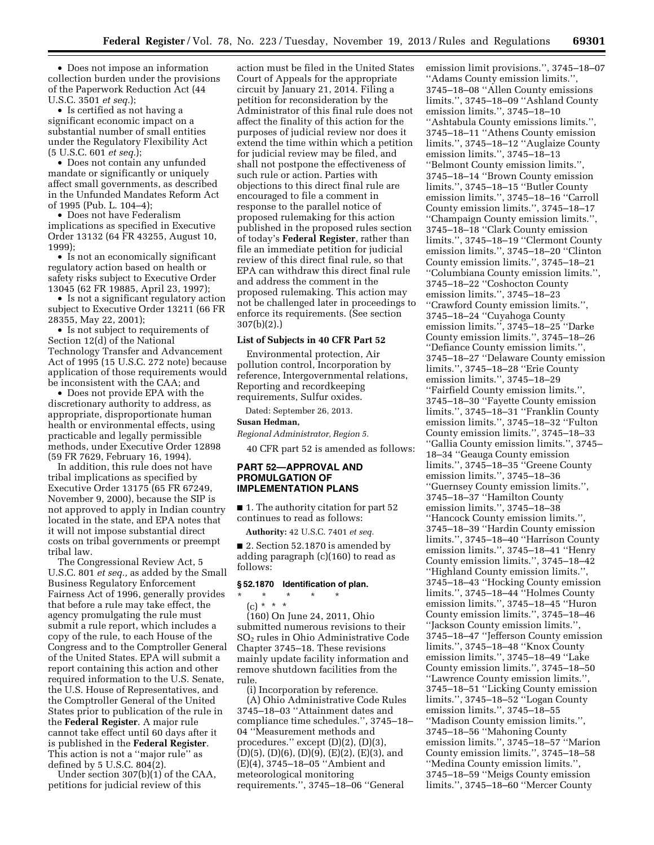• Does not impose an information collection burden under the provisions of the Paperwork Reduction Act (44 U.S.C. 3501 *et seq.*);

• Is certified as not having a significant economic impact on a substantial number of small entities under the Regulatory Flexibility Act (5 U.S.C. 601 *et seq.*);

• Does not contain any unfunded mandate or significantly or uniquely affect small governments, as described in the Unfunded Mandates Reform Act of 1995 (Pub. L. 104–4);

• Does not have Federalism implications as specified in Executive Order 13132 (64 FR 43255, August 10, 1999);

• Is not an economically significant regulatory action based on health or safety risks subject to Executive Order 13045 (62 FR 19885, April 23, 1997);

• Is not a significant regulatory action subject to Executive Order 13211 (66 FR 28355, May 22, 2001);

• Is not subject to requirements of Section 12(d) of the National Technology Transfer and Advancement Act of 1995 (15 U.S.C. 272 note) because application of those requirements would be inconsistent with the CAA; and

• Does not provide EPA with the discretionary authority to address, as appropriate, disproportionate human health or environmental effects, using practicable and legally permissible methods, under Executive Order 12898 (59 FR 7629, February 16, 1994).

In addition, this rule does not have tribal implications as specified by Executive Order 13175 (65 FR 67249, November 9, 2000), because the SIP is not approved to apply in Indian country located in the state, and EPA notes that it will not impose substantial direct costs on tribal governments or preempt tribal law.

The Congressional Review Act, 5 U.S.C. 801 *et seq.,* as added by the Small Business Regulatory Enforcement Fairness Act of 1996, generally provides that before a rule may take effect, the agency promulgating the rule must submit a rule report, which includes a copy of the rule, to each House of the Congress and to the Comptroller General of the United States. EPA will submit a report containing this action and other required information to the U.S. Senate, the U.S. House of Representatives, and the Comptroller General of the United States prior to publication of the rule in the **Federal Register**. A major rule cannot take effect until 60 days after it is published in the **Federal Register**. This action is not a ''major rule'' as defined by 5 U.S.C. 804(2).

Under section 307(b)(1) of the CAA, petitions for judicial review of this

action must be filed in the United States Court of Appeals for the appropriate circuit by January 21, 2014. Filing a petition for reconsideration by the Administrator of this final rule does not affect the finality of this action for the purposes of judicial review nor does it extend the time within which a petition for judicial review may be filed, and shall not postpone the effectiveness of such rule or action. Parties with objections to this direct final rule are encouraged to file a comment in response to the parallel notice of proposed rulemaking for this action published in the proposed rules section of today's **Federal Register**, rather than file an immediate petition for judicial review of this direct final rule, so that EPA can withdraw this direct final rule and address the comment in the proposed rulemaking. This action may not be challenged later in proceedings to enforce its requirements. (See section 307(b)(2).)

#### **List of Subjects in 40 CFR Part 52**

Environmental protection, Air pollution control, Incorporation by reference, Intergovernmental relations, Reporting and recordkeeping requirements, Sulfur oxides.

Dated: September 26, 2013.

#### **Susan Hedman,**

*Regional Administrator, Region 5.* 

40 CFR part 52 is amended as follows:

## **PART 52—APPROVAL AND PROMULGATION OF IMPLEMENTATION PLANS**

■ 1. The authority citation for part 52 continues to read as follows:

**Authority:** 42 U.S.C. 7401 *et seq.* 

■ 2. Section 52.1870 is amended by adding paragraph (c)(160) to read as follows:

# **§ 52.1870 Identification of plan.**

\* \* \* \* \*

(c) \* \* \*

(160) On June 24, 2011, Ohio submitted numerous revisions to their SO2 rules in Ohio Administrative Code Chapter 3745–18. These revisions mainly update facility information and remove shutdown facilities from the rule.

(i) Incorporation by reference. (A) Ohio Administrative Code Rules 3745–18–03 ''Attainment dates and compliance time schedules.'', 3745–18– 04 ''Measurement methods and procedures.'' except (D)(2), (D)(3), (D)(5), (D)(6), (D)(9), (E)(2), (E)(3), and (E)(4), 3745–18–05 ''Ambient and meteorological monitoring requirements.'', 3745–18–06 ''General

emission limit provisions.'', 3745–18–07 ''Adams County emission limits.'', 3745–18–08 ''Allen County emissions limits.'', 3745–18–09 ''Ashland County emission limits.'', 3745–18–10 ''Ashtabula County emissions limits.'', 3745–18–11 ''Athens County emission limits.'', 3745–18–12 ''Auglaize County emission limits.'', 3745–18–13 ''Belmont County emission limits.'', 3745–18–14 ''Brown County emission limits.'', 3745–18–15 ''Butler County emission limits.'', 3745–18–16 ''Carroll County emission limits.'', 3745–18–17 ''Champaign County emission limits.'', 3745–18–18 ''Clark County emission limits.'', 3745–18–19 ''Clermont County emission limits.'', 3745–18–20 ''Clinton County emission limits.'', 3745–18–21 ''Columbiana County emission limits.'', 3745–18–22 ''Coshocton County emission limits.'', 3745–18–23 ''Crawford County emission limits.'', 3745–18–24 ''Cuyahoga County emission limits.'', 3745–18–25 ''Darke County emission limits.'', 3745–18–26 ''Defiance County emission limits.'', 3745–18–27 ''Delaware County emission limits.'', 3745–18–28 ''Erie County emission limits.'', 3745–18–29 ''Fairfield County emission limits.'', 3745–18–30 ''Fayette County emission limits.'', 3745–18–31 ''Franklin County emission limits.'', 3745–18–32 ''Fulton County emission limits.'', 3745–18–33 ''Gallia County emission limits.'', 3745– 18–34 ''Geauga County emission limits.'', 3745–18–35 ''Greene County emission limits.'', 3745–18–36 ''Guernsey County emission limits.'', 3745–18–37 ''Hamilton County emission limits.'', 3745–18–38 ''Hancock County emission limits.'', 3745–18–39 ''Hardin County emission limits.'', 3745–18–40 ''Harrison County emission limits.'', 3745–18–41 ''Henry County emission limits.'', 3745–18–42 ''Highland County emission limits.'', 3745–18–43 ''Hocking County emission limits.'', 3745–18–44 ''Holmes County emission limits.'', 3745–18–45 ''Huron County emission limits.'', 3745–18–46 ''Jackson County emission limits.'', 3745–18–47 ''Jefferson County emission limits.'', 3745–18–48 ''Knox County emission limits.'', 3745–18–49 ''Lake County emission limits.'', 3745–18–50 ''Lawrence County emission limits.'', 3745–18–51 ''Licking County emission limits.'', 3745–18–52 ''Logan County emission limits.'', 3745–18–55 ''Madison County emission limits.'', 3745–18–56 ''Mahoning County emission limits.'', 3745–18–57 ''Marion County emission limits.'', 3745–18–58 ''Medina County emission limits.'', 3745–18–59 ''Meigs County emission limits.'', 3745–18–60 ''Mercer County